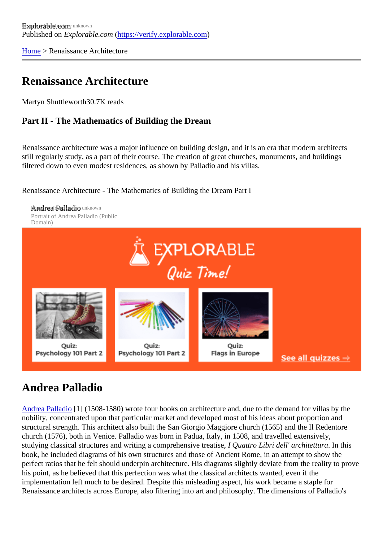[Home](https://verify.explorable.com/)> Renaissance Architecture

#### Renaissance Architecture

Martyn Shuttlewort<sup>80.7K</sup> reads

#### Part II - The Mathematics of Building the Dream

Renaissance architecture was a major influence on building design, and it is an era that modern architects still regularly study, as a part of their course. The creation of great churches, monuments, and buildings filtered down to even modest residences, as shown by Palladio and his villas.

Renaissance Architecture - The Mathematics of Building the Dream Part I

Annothea Palladio unknown Portrait of Andrea Palladio (Public Domain)

## Andrea Palladio

[Andrea Palladi](http://en.wikipedia.org/wiki/Andrea_Palladio)o<sup>[1]</sup> (1508-1580) wrote four books on architecture and, due to the demand for villas by the nobility, concentrated upon that particular market and developed most of his ideas about proportion and structural strength. This architect also built the San Giorgio Maggiore church (1565) and the Il Redentore church (1576), both in Venice. Palladio was born in Padua, Italy, in 1508, and travelled extensively, studying classical structures and writing a comprehensive treatise, ttro Libri dell' architettura In this book, he included diagrams of his own structures and those of Ancient Rome, in an attempt to show the perfect ratios that he felt should underpin architecture. His diagrams slightly deviate from the reality to prot his point, as he believed that this perfection was what the classical architects wanted, even if the implementation left much to be desired. Despite this misleading aspect, his work became a staple for Renaissance architects across Europe, also filtering into art and philosophy. The dimensions of Palladio's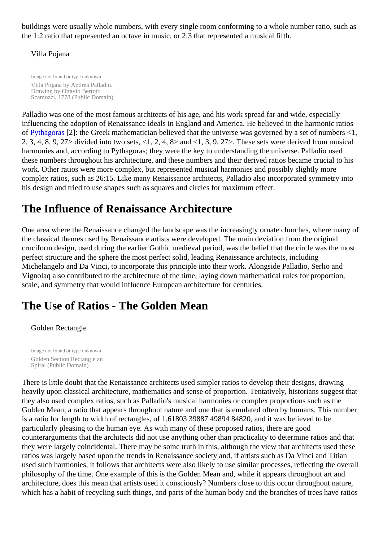buildings were usually whole numbers, with every single room conforming to a whole number ratio, such a the 1:2 ratio that represented an octave in music, or 2:3 that represented a musical fifth.

#### Villa Pojana

Image not found or type unknown Villa Pojana by Andrea Palladio. Drawing by Ottavio Bertotti Scamozzi, 1778 (Public Domain)

Palladio was one of the most famous architects of his age, and his work spread far and wide, especially influencing the adoption of Renaissance ideals in England and America. He believed in the harmonic ratio of [Pythagora](https://verify.explorable.com/pythagoras)\$2]: the Greek mathematician believed that the universe was governed by a set of numbers < 2, 3, 4, 8, 9, 27> divided into two sets, <1, 2, 4, 8> and <1, 3, 9, 27>. These sets were derived from music harmonies and, according to Pythagoras; they were the key to understanding the universe. Palladio used these numbers throughout his architecture, and these numbers and their derived ratios became crucial to his work. Other ratios were more complex, but represented musical harmonies and possibly slightly more complex ratios, such as 26:15. Like many Renaissance architects, Palladio also incorporated symmetry in his design and tried to use shapes such as squares and circles for maximum effect.

## The Influence of Renaissance Architecture

One area where the Renaissance changed the landscape was the increasingly ornate churches, where many of the many of the many of the many of the many of the many of the many of the many of the many of the many of the many the classical themes used by Renaissance artists were developed. The main deviation from the original cruciform design, used during the earlier Gothic medieval period, was the belief that the circle was the most perfect structure and the sphere the most perfect solid, leading Renaissance architects, including Michelangelo and Da Vinci, to incorporate this principle into their work. Alongside Palladio, Serlio and Vignolaq also contributed to the architecture of the time, laying down mathematical rules for proportion, scale, and symmetry that would influence European architecture for centuries.

## The Use of Ratios - The Golden Mean

#### Golden Rectangle

Image not found or type unknown Golden Section Rectangle an Spiral (Public Domain)

There is little doubt that the Renaissance architects used simpler ratios to develop their designs, drawing heavily upon classical architecture, mathematics and sense of proportion. Tentatively, historians suggest to they also used complex ratios, such as Palladio's musical harmonies or complex proportions such as the Golden Mean, a ratio that appears throughout nature and one that is emulated often by humans. This num is a ratio for length to width of rectangles, of 1.61803 39887 49894 84820, and it was believed to be particularly pleasing to the human eye. As with many of these proposed ratios, there are good counterarguments that the architects did not use anything other than practicality to determine ratios and that they were largely coincidental. There may be some truth in this, although the view that architects used the ratios was largely based upon the trends in Renaissance society and, if artists such as Da Vinci and Titian used such harmonies, it follows that architects were also likely to use similar processes, reflecting the over philosophy of the time. One example of this is the Golden Mean and, while it appears throughout art and architecture, does this mean that artists used it consciously? Numbers close to this occur throughout nature which has a habit of recycling such things, and parts of the human body and the branches of trees have ration